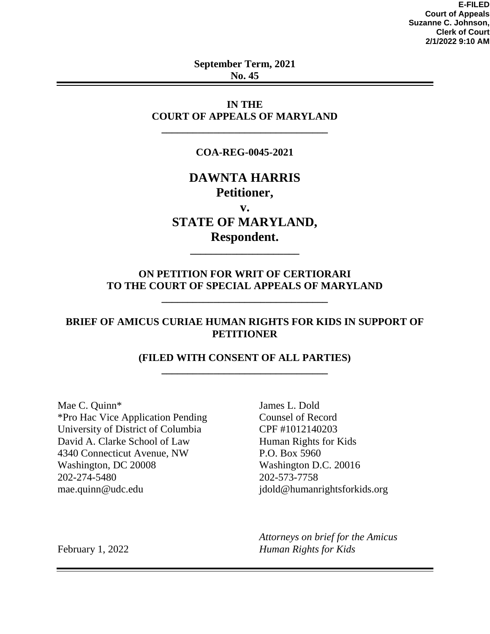**E-FILED Court of Appeals Suzanne C. Johnson, Clerk of Court 2/1/2022 9:10 AM**

**September Term, 2021 No. 45**

**IN THE COURT OF APPEALS OF MARYLAND**

**\_\_\_\_\_\_\_\_\_\_\_\_\_\_\_\_\_\_\_\_\_\_\_\_\_\_\_\_\_\_\_\_**

#### **COA-REG-0045-2021**

# **DAWNTA HARRIS Petitioner,**

**v.**

# **STATE OF MARYLAND, Respondent.**

**\_\_\_\_\_\_\_\_\_\_\_\_\_\_\_\_\_\_\_\_\_**

# **ON PETITION FOR WRIT OF CERTIORARI TO THE COURT OF SPECIAL APPEALS OF MARYLAND**

**\_\_\_\_\_\_\_\_\_\_\_\_\_\_\_\_\_\_\_\_\_\_\_\_\_\_\_\_\_\_\_\_**

#### **BRIEF OF AMICUS CURIAE HUMAN RIGHTS FOR KIDS IN SUPPORT OF PETITIONER**

#### **(FILED WITH CONSENT OF ALL PARTIES) \_\_\_\_\_\_\_\_\_\_\_\_\_\_\_\_\_\_\_\_\_\_\_\_\_\_\_\_\_\_\_\_**

Mae C. Quinn\* \*Pro Hac Vice Application Pending University of District of Columbia David A. Clarke School of Law 4340 Connecticut Avenue, NW Washington, DC 20008 202-274-5480 mae.quinn@udc.edu

James L. Dold Counsel of Record CPF #1012140203 Human Rights for Kids P.O. Box 5960 Washington D.C. 20016 202-573-7758 jdold@humanrightsforkids.org

*Attorneys on brief for the Amicus Human Rights for Kids*

February 1, 2022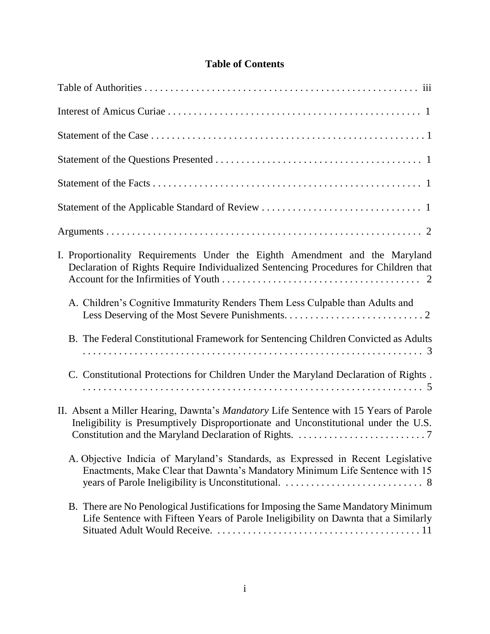# **Table of Contents**

| I. Proportionality Requirements Under the Eighth Amendment and the Maryland<br>Declaration of Rights Require Individualized Sentencing Procedures for Children that          |
|------------------------------------------------------------------------------------------------------------------------------------------------------------------------------|
| A. Children's Cognitive Immaturity Renders Them Less Culpable than Adults and                                                                                                |
| B. The Federal Constitutional Framework for Sentencing Children Convicted as Adults                                                                                          |
| C. Constitutional Protections for Children Under the Maryland Declaration of Rights.                                                                                         |
| II. Absent a Miller Hearing, Dawnta's Mandatory Life Sentence with 15 Years of Parole<br>Ineligibility is Presumptively Disproportionate and Unconstitutional under the U.S. |
| A. Objective Indicia of Maryland's Standards, as Expressed in Recent Legislative<br>Enactments, Make Clear that Dawnta's Mandatory Minimum Life Sentence with 15             |
| B. There are No Penological Justifications for Imposing the Same Mandatory Minimum<br>Life Sentence with Fifteen Years of Parole Ineligibility on Dawnta that a Similarly    |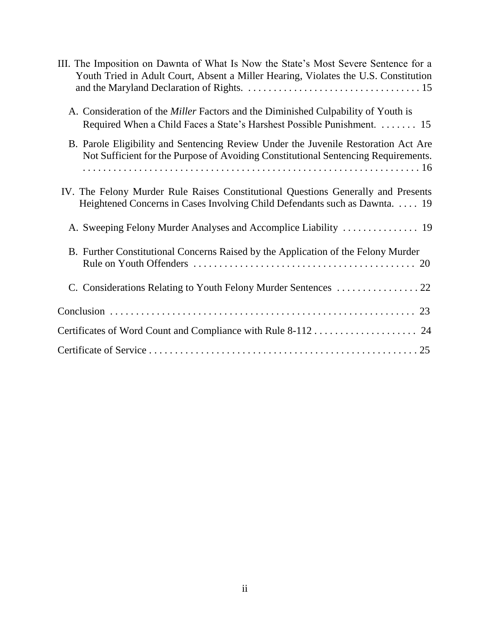| III. The Imposition on Dawnta of What Is Now the State's Most Severe Sentence for a<br>Youth Tried in Adult Court, Absent a Miller Hearing, Violates the U.S. Constitution |
|----------------------------------------------------------------------------------------------------------------------------------------------------------------------------|
| A. Consideration of the <i>Miller</i> Factors and the Diminished Culpability of Youth is<br>Required When a Child Faces a State's Harshest Possible Punishment.  15        |
| B. Parole Eligibility and Sentencing Review Under the Juvenile Restoration Act Are<br>Not Sufficient for the Purpose of Avoiding Constitutional Sentencing Requirements.   |
| IV. The Felony Murder Rule Raises Constitutional Questions Generally and Presents<br>Heightened Concerns in Cases Involving Child Defendants such as Dawnta.  19           |
|                                                                                                                                                                            |
| B. Further Constitutional Concerns Raised by the Application of the Felony Murder                                                                                          |
|                                                                                                                                                                            |
|                                                                                                                                                                            |
|                                                                                                                                                                            |
|                                                                                                                                                                            |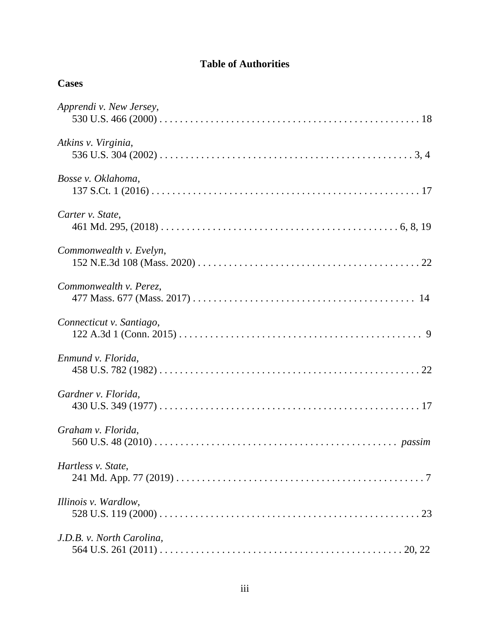# **Table of Authorities**

**Cases**

| Apprendi v. New Jersey,   |
|---------------------------|
| Atkins v. Virginia,       |
| Bosse v. Oklahoma,        |
| Carter v. State,          |
| Commonwealth v. Evelyn,   |
| Commonwealth v. Perez,    |
| Connecticut v. Santiago,  |
| Enmund v. Florida,        |
| Gardner v. Florida,       |
| Graham v. Florida,        |
| Hartless v. State,        |
| Illinois v. Wardlow,      |
| J.D.B. v. North Carolina, |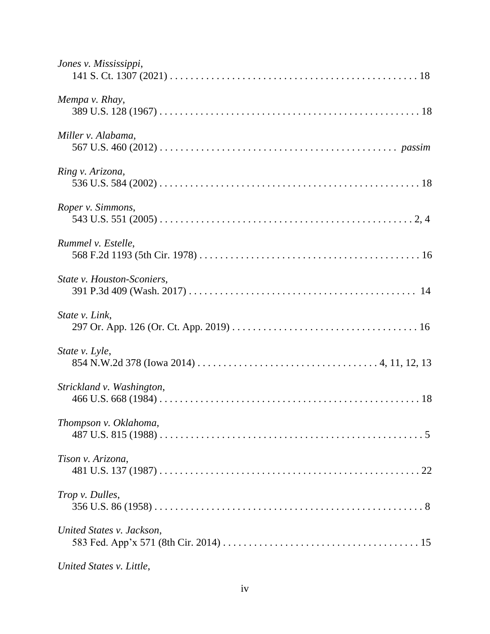| Jones v. Mississippi,      |
|----------------------------|
| Mempa v. Rhay,             |
| Miller v. Alabama,         |
| Ring v. Arizona,           |
| Roper v. Simmons,          |
| Rummel v. Estelle,         |
| State v. Houston-Sconiers, |
| State v. Link,             |
| State v. Lyle,             |
| Strickland v. Washington,  |
| Thompson v. Oklahoma,      |
| Tison v. Arizona,          |
| Trop v. Dulles,            |
| United States v. Jackson,  |
|                            |

*United States v. Little*,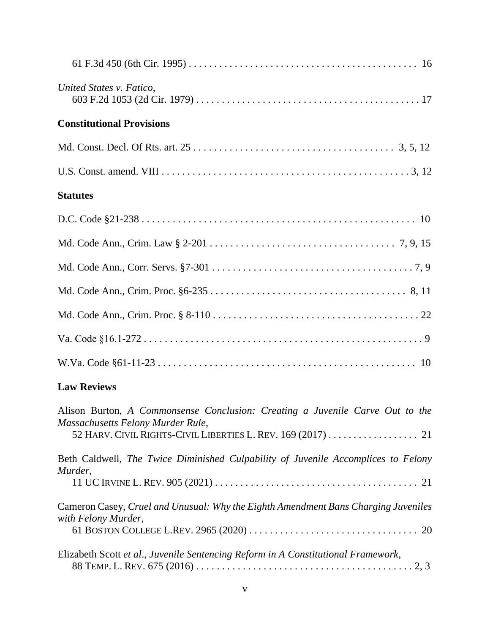| United States v. Fatico,         |
|----------------------------------|
| <b>Constitutional Provisions</b> |
|                                  |
|                                  |
| <b>Statutes</b>                  |
|                                  |
|                                  |
|                                  |
|                                  |
|                                  |
|                                  |
|                                  |
|                                  |

# **Law Reviews**

| Alison Burton, A Commonsense Conclusion: Creating a Juvenile Carve Out to the                             |
|-----------------------------------------------------------------------------------------------------------|
| Massachusetts Felony Murder Rule,                                                                         |
|                                                                                                           |
| Beth Caldwell, The Twice Diminished Culpability of Juvenile Accomplices to Felony<br>Murder,              |
|                                                                                                           |
| Cameron Casey, Cruel and Unusual: Why the Eighth Amendment Bans Charging Juveniles<br>with Felony Murder, |
|                                                                                                           |
| Elizabeth Scott et al., Juvenile Sentencing Reform in A Constitutional Framework,                         |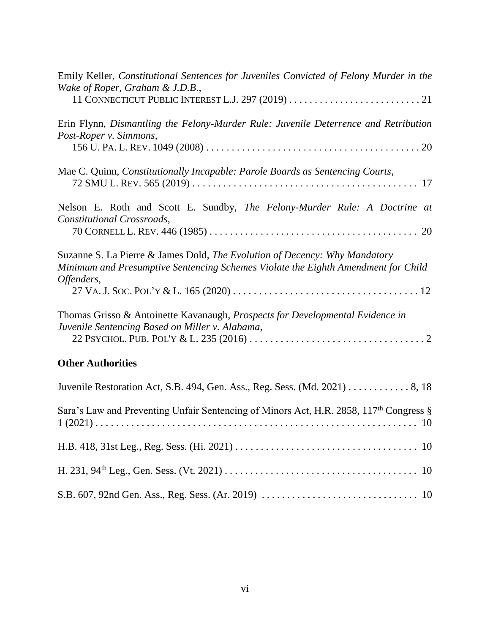| Emily Keller, Constitutional Sentences for Juveniles Convicted of Felony Murder in the<br>Wake of Roper, Graham & J.D.B.,                                                     |
|-------------------------------------------------------------------------------------------------------------------------------------------------------------------------------|
|                                                                                                                                                                               |
| Erin Flynn, Dismantling the Felony-Murder Rule: Juvenile Deterrence and Retribution<br>Post-Roper v. Simmons,                                                                 |
| Mae C. Quinn, Constitutionally Incapable: Parole Boards as Sentencing Courts,                                                                                                 |
| Nelson E. Roth and Scott E. Sundby, The Felony-Murder Rule: A Doctrine at<br>Constitutional Crossroads,                                                                       |
| Suzanne S. La Pierre & James Dold, The Evolution of Decency: Why Mandatory<br>Minimum and Presumptive Sentencing Schemes Violate the Eighth Amendment for Child<br>Offenders, |
| Thomas Grisso & Antoinette Kavanaugh, <i>Prospects for Developmental Evidence in</i><br>Juvenile Sentencing Based on Miller v. Alabama,                                       |
| <b>Other Authorities</b>                                                                                                                                                      |
| Juvenile Restoration Act, S.B. 494, Gen. Ass., Reg. Sess. (Md. 2021) 8, 18                                                                                                    |
| Sara's Law and Preventing Unfair Sentencing of Minors Act, H.R. 2858, 117 <sup>th</sup> Congress §                                                                            |
|                                                                                                                                                                               |
|                                                                                                                                                                               |
|                                                                                                                                                                               |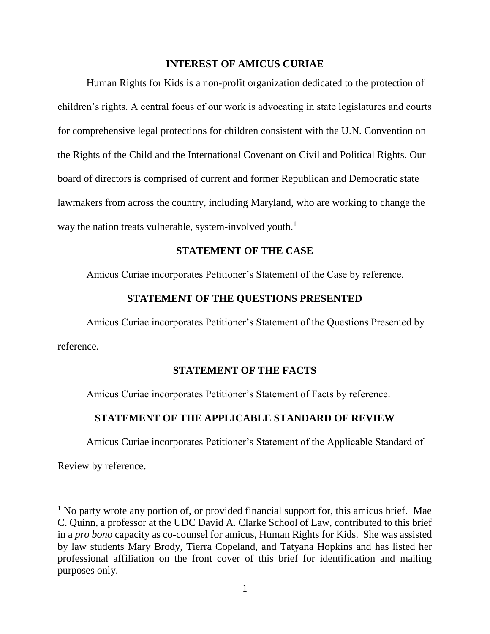#### **INTEREST OF AMICUS CURIAE**

Human Rights for Kids is a non-profit organization dedicated to the protection of children's rights. A central focus of our work is advocating in state legislatures and courts for comprehensive legal protections for children consistent with the U.N. Convention on the Rights of the Child and the International Covenant on Civil and Political Rights. Our board of directors is comprised of current and former Republican and Democratic state lawmakers from across the country, including Maryland, who are working to change the way the nation treats vulnerable, system-involved youth.<sup>1</sup>

#### **STATEMENT OF THE CASE**

Amicus Curiae incorporates Petitioner's Statement of the Case by reference.

#### **STATEMENT OF THE QUESTIONS PRESENTED**

Amicus Curiae incorporates Petitioner's Statement of the Questions Presented by reference.

#### **STATEMENT OF THE FACTS**

Amicus Curiae incorporates Petitioner's Statement of Facts by reference.

#### **STATEMENT OF THE APPLICABLE STANDARD OF REVIEW**

Amicus Curiae incorporates Petitioner's Statement of the Applicable Standard of

Review by reference.

l

 $<sup>1</sup>$  No party wrote any portion of, or provided financial support for, this amicus brief. Mae</sup> C. Quinn, a professor at the UDC David A. Clarke School of Law, contributed to this brief in a *pro bono* capacity as co-counsel for amicus, Human Rights for Kids. She was assisted by law students Mary Brody, Tierra Copeland, and Tatyana Hopkins and has listed her professional affiliation on the front cover of this brief for identification and mailing purposes only.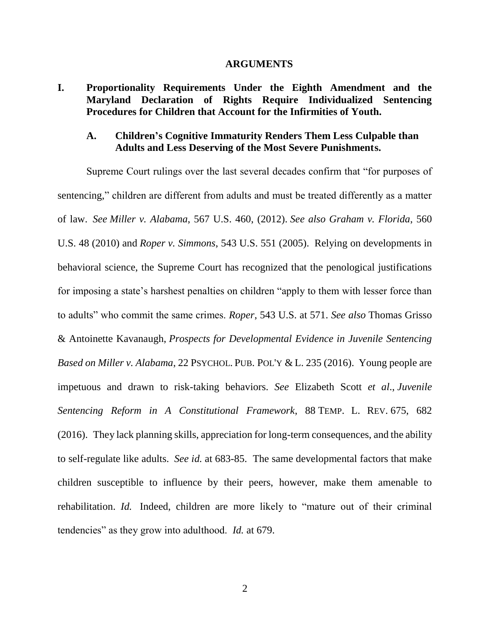#### **ARGUMENTS**

#### **I. Proportionality Requirements Under the Eighth Amendment and the Maryland Declaration of Rights Require Individualized Sentencing Procedures for Children that Account for the Infirmities of Youth.**

#### **A. Children's Cognitive Immaturity Renders Them Less Culpable than Adults and Less Deserving of the Most Severe Punishments.**

Supreme Court rulings over the last several decades confirm that "for purposes of sentencing," children are different from adults and must be treated differently as a matter of law. *See Miller v. Alabama*, 567 U.S. 460, (2012). *See also Graham v. Florida*, 560 U.S. 48 (2010) and *Roper v. Simmons*, 543 U.S. 551 (2005). Relying on developments in behavioral science, the Supreme Court has recognized that the penological justifications for imposing a state's harshest penalties on children "apply to them with lesser force than to adults" who commit the same crimes. *Roper*, 543 U.S. at 571. *See also* Thomas Grisso & Antoinette Kavanaugh, *Prospects for Developmental Evidence in Juvenile Sentencing Based on Miller v. Alabama*, 22 PSYCHOL. PUB. POL'Y & L. 235 (2016). Young people are impetuous and drawn to risk-taking behaviors. *See* Elizabeth Scott *et al*., *Juvenile Sentencing Reform in A Constitutional Framework*, 88 TEMP. L. REV. 675, 682 (2016). They lack planning skills, appreciation for long-term consequences, and the ability to self-regulate like adults. *See id.* at 683-85. The same developmental factors that make children susceptible to influence by their peers, however, make them amenable to rehabilitation. *Id.* Indeed, children are more likely to "mature out of their criminal tendencies" as they grow into adulthood. *Id.* at 679.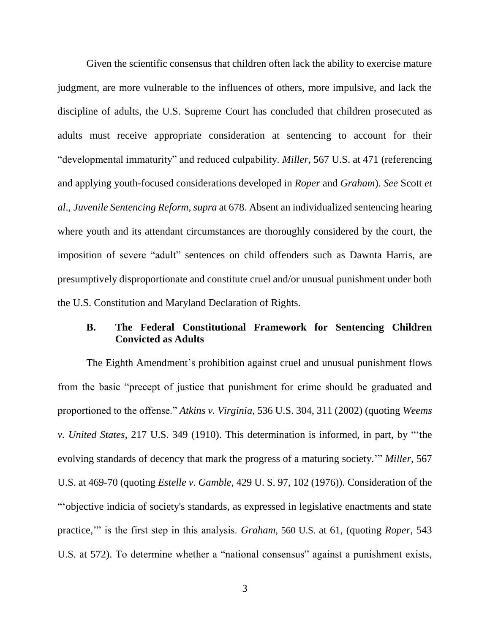Given the scientific consensus that children often lack the ability to exercise mature judgment, are more vulnerable to the influences of others, more impulsive, and lack the discipline of adults, the U.S. Supreme Court has concluded that children prosecuted as adults must receive appropriate consideration at sentencing to account for their "developmental immaturity" and reduced culpability. *Miller*, 567 U.S. at 471 (referencing and applying youth-focused considerations developed in *Roper* and *Graham*). *See* Scott *et al*., *Juvenile Sentencing Reform, supra* at 678. Absent an individualized sentencing hearing where youth and its attendant circumstances are thoroughly considered by the court, the imposition of severe "adult" sentences on child offenders such as Dawnta Harris, are presumptively disproportionate and constitute cruel and/or unusual punishment under both the U.S. Constitution and Maryland Declaration of Rights.

# **B. The Federal Constitutional Framework for Sentencing Children Convicted as Adults**

The Eighth Amendment's prohibition against cruel and unusual punishment flows from the basic "precept of justice that punishment for crime should be graduated and proportioned to the offense." *Atkins v. Virginia*, 536 U.S. 304, 311 (2002) (quoting *Weems v. United States*, 217 U.S. 349 (1910). This determination is informed, in part, by "'the evolving standards of decency that mark the progress of a maturing society.'" *Miller*, 567 U.S. at 469-70 (quoting *Estelle v. Gamble*, 429 U. S. 97, 102 (1976)). Consideration of the "'objective indicia of society's standards, as expressed in legislative enactments and state practice,'" is the first step in this analysis. *Graham*, 560 U.S. at 61, (quoting *Roper*, 543 U.S. at 572). To determine whether a "national consensus" against a punishment exists,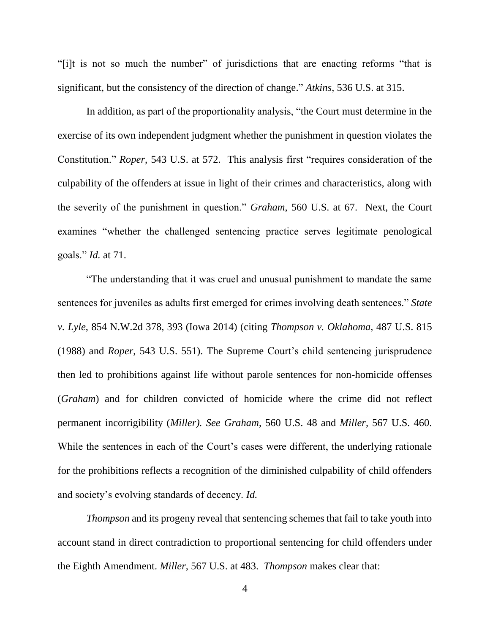"[i]t is not so much the number" of jurisdictions that are enacting reforms "that is significant, but the consistency of the direction of change." *Atkins*, 536 U.S. at 315.

In addition, as part of the proportionality analysis, "the Court must determine in the exercise of its own independent judgment whether the punishment in question violates the Constitution." *Roper*, 543 U.S. at 572. This analysis first "requires consideration of the culpability of the offenders at issue in light of their crimes and characteristics, along with the severity of the punishment in question." *Graham*, 560 U.S. at 67. Next, the Court examines "whether the challenged sentencing practice serves legitimate penological goals." *Id.* at 71.

"The understanding that it was cruel and unusual punishment to mandate the same sentences for juveniles as adults first emerged for crimes involving death sentences." *State v. Lyle*, 854 N.W.2d 378, 393 (Iowa 2014) (citing *Thompson v. Oklahoma,* 487 U.S. 815 (1988) and *Roper*, 543 U.S. 551). The Supreme Court's child sentencing jurisprudence then led to prohibitions against life without parole sentences for non-homicide offenses (*Graham*) and for children convicted of homicide where the crime did not reflect permanent incorrigibility (*Miller). See Graham*, 560 U.S. 48 and *Miller,* 567 U.S. 460. While the sentences in each of the Court's cases were different, the underlying rationale for the prohibitions reflects a recognition of the diminished culpability of child offenders and society's evolving standards of decency. *Id.*

*Thompson* and its progeny reveal that sentencing schemes that fail to take youth into account stand in direct contradiction to proportional sentencing for child offenders under the Eighth Amendment. *Miller*, 567 U.S. at 483. *Thompson* makes clear that: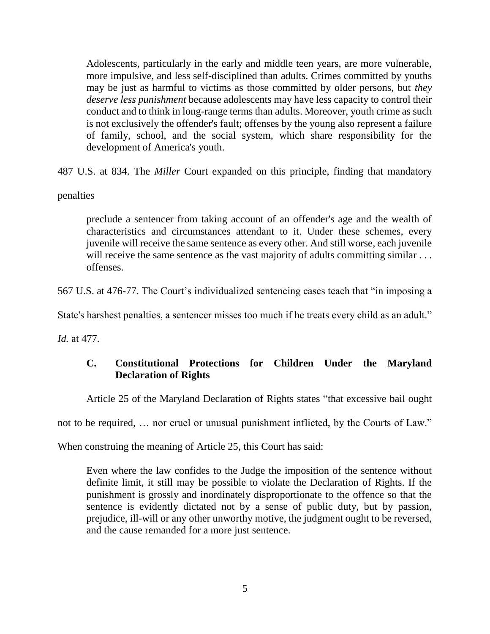Adolescents, particularly in the early and middle teen years, are more vulnerable, more impulsive, and less self-disciplined than adults. Crimes committed by youths may be just as harmful to victims as those committed by older persons, but *they deserve less punishment* because adolescents may have less capacity to control their conduct and to think in long-range terms than adults. Moreover, youth crime as such is not exclusively the offender's fault; offenses by the young also represent a failure of family, school, and the social system, which share responsibility for the development of America's youth.

487 U.S. at 834. The *Miller* Court expanded on this principle, finding that mandatory

#### penalties

preclude a sentencer from taking account of an offender's age and the wealth of characteristics and circumstances attendant to it. Under these schemes, every juvenile will receive the same sentence as every other. And still worse, each juvenile will receive the same sentence as the vast majority of adults committing similar ... offenses.

567 U.S. at 476-77. The Court's individualized sentencing cases teach that "in imposing a

State's harshest penalties, a sentencer misses too much if he treats every child as an adult."

*Id.* at 477.

# **C. Constitutional Protections for Children Under the Maryland Declaration of Rights**

Article 25 of the Maryland Declaration of Rights states "that excessive bail ought

not to be required, … nor cruel or unusual punishment inflicted, by the Courts of Law."

When construing the meaning of Article 25, this Court has said:

Even where the law confides to the Judge the imposition of the sentence without definite limit, it still may be possible to violate the Declaration of Rights. If the punishment is grossly and inordinately disproportionate to the offence so that the sentence is evidently dictated not by a sense of public duty, but by passion, prejudice, ill-will or any other unworthy motive, the judgment ought to be reversed, and the cause remanded for a more just sentence.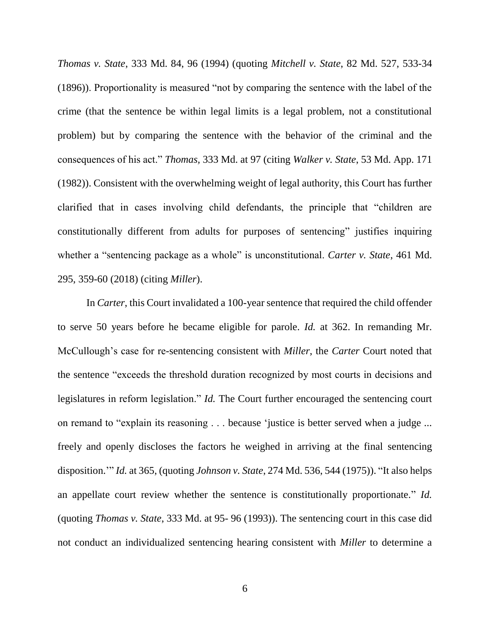*Thomas v. State*, 333 Md. 84, 96 (1994) (quoting *Mitchell v. State*, 82 Md. 527, 533-34 (1896)). Proportionality is measured "not by comparing the sentence with the label of the crime (that the sentence be within legal limits is a legal problem, not a constitutional problem) but by comparing the sentence with the behavior of the criminal and the consequences of his act." *Thomas,* 333 Md. at 97 (citing *Walker v. State*, 53 Md. App. 171 (1982)). Consistent with the overwhelming weight of legal authority, this Court has further clarified that in cases involving child defendants, the principle that "children are constitutionally different from adults for purposes of sentencing" justifies inquiring whether a "sentencing package as a whole" is unconstitutional. *Carter v. State*, 461 Md. 295, 359-60 (2018) (citing *Miller*).

In *Carter*, this Court invalidated a 100-year sentence that required the child offender to serve 50 years before he became eligible for parole. *Id.* at 362. In remanding Mr. McCullough's case for re-sentencing consistent with *Miller*, the *Carter* Court noted that the sentence "exceeds the threshold duration recognized by most courts in decisions and legislatures in reform legislation." *Id.* The Court further encouraged the sentencing court on remand to "explain its reasoning . . . because 'justice is better served when a judge ... freely and openly discloses the factors he weighed in arriving at the final sentencing disposition.'" *Id.* at 365, (quoting *Johnson v. State*, 274 Md. 536, 544 (1975)). "It also helps an appellate court review whether the sentence is constitutionally proportionate." *Id.* (quoting *Thomas v. State*, 333 Md. at 95- 96 (1993)). The sentencing court in this case did not conduct an individualized sentencing hearing consistent with *Miller* to determine a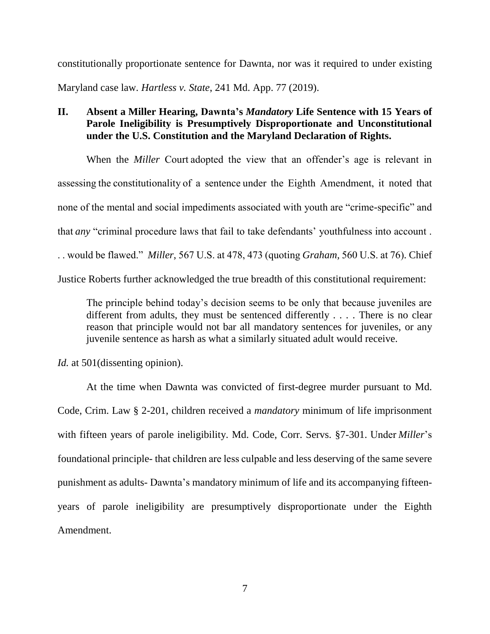constitutionally proportionate sentence for Dawnta, nor was it required to under existing Maryland case law. *Hartless v. State*, 241 Md. App. 77 (2019).

# **II. Absent a Miller Hearing, Dawnta's** *Mandatory* **Life Sentence with 15 Years of Parole Ineligibility is Presumptively Disproportionate and Unconstitutional under the U.S. Constitution and the Maryland Declaration of Rights.**

When the *Miller* Court adopted the view that an offender's age is relevant in assessing the constitutionality of a sentence under the Eighth Amendment, it noted that none of the mental and social impediments associated with youth are "crime-specific" and that *any* "criminal procedure laws that fail to take defendants' youthfulness into account . . . would be flawed." *Miller*, 567 U.S. at 478, 473 (quoting *Graham,* 560 U.S. at 76)*.* Chief Justice Roberts further acknowledged the true breadth of this constitutional requirement:

The principle behind today's decision seems to be only that because juveniles are different from adults, they must be sentenced differently . . . . There is no clear reason that principle would not bar all mandatory sentences for juveniles, or any juvenile sentence as harsh as what a similarly situated adult would receive.

*Id.* at 501(dissenting opinion).

At the time when Dawnta was convicted of first-degree murder pursuant to Md. Code, Crim. Law § 2-201, children received a *mandatory* minimum of life imprisonment with fifteen years of parole ineligibility. Md. Code, Corr. Servs. §7-301. Under *Miller*'s foundational principle- that children are less culpable and less deserving of the same severe punishment as adults- Dawnta's mandatory minimum of life and its accompanying fifteenyears of parole ineligibility are presumptively disproportionate under the Eighth Amendment.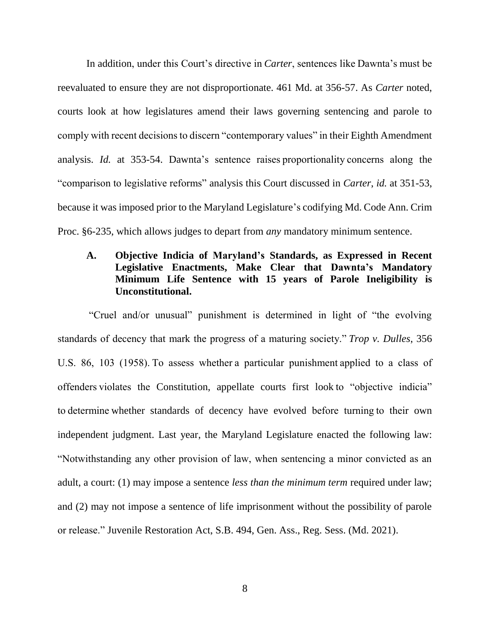In addition, under this Court's directive in *Carter*, sentences like Dawnta's must be reevaluated to ensure they are not disproportionate. 461 Md. at 356-57. As *Carter* noted, courts look at how legislatures amend their laws governing sentencing and parole to comply with recent decisions to discern "contemporary values" in their Eighth Amendment analysis. *Id.* at 353-54. Dawnta's sentence raises proportionality concerns along the "comparison to legislative reforms" analysis this Court discussed in *Carter*, *id.* at 351-53, because it was imposed prior to the Maryland Legislature's codifying Md. Code Ann. Crim Proc. §6-235, which allows judges to depart from *any* mandatory minimum sentence.

# **A. Objective Indicia of Maryland's Standards, as Expressed in Recent Legislative Enactments, Make Clear that Dawnta's Mandatory Minimum Life Sentence with 15 years of Parole Ineligibility is Unconstitutional.**

"Cruel and/or unusual" punishment is determined in light of "the evolving standards of decency that mark the progress of a maturing society." *Trop v. Dulles*, 356 U.S. 86, 103 (1958). To assess whether a particular punishment applied to a class of offenders violates the Constitution, appellate courts first look to "objective indicia" to determine whether standards of decency have evolved before turning to their own independent judgment. Last year, the Maryland Legislature enacted the following law: "Notwithstanding any other provision of law, when sentencing a minor convicted as an adult, a court: (1) may impose a sentence *less than the minimum term* required under law; and (2) may not impose a sentence of life imprisonment without the possibility of parole or release." Juvenile Restoration Act, S.B. 494, Gen. Ass., Reg. Sess. (Md. 2021).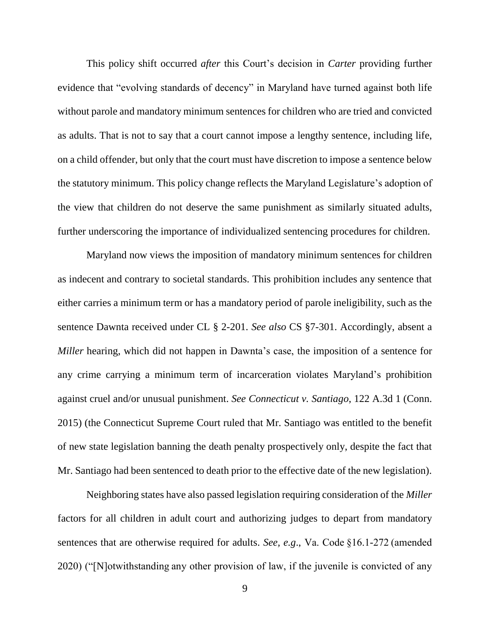This policy shift occurred *after* this Court's decision in *Carter* providing further evidence that "evolving standards of decency" in Maryland have turned against both life without parole and mandatory minimum sentences for children who are tried and convicted as adults. That is not to say that a court cannot impose a lengthy sentence, including life, on a child offender, but only that the court must have discretion to impose a sentence below the statutory minimum. This policy change reflects the Maryland Legislature's adoption of the view that children do not deserve the same punishment as similarly situated adults, further underscoring the importance of individualized sentencing procedures for children.

Maryland now views the imposition of mandatory minimum sentences for children as indecent and contrary to societal standards. This prohibition includes any sentence that either carries a minimum term or has a mandatory period of parole ineligibility, such as the sentence Dawnta received under CL § 2-201. *See also* CS §7-301. Accordingly, absent a *Miller* hearing, which did not happen in Dawnta's case, the imposition of a sentence for any crime carrying a minimum term of incarceration violates Maryland's prohibition against cruel and/or unusual punishment. *See Connecticut v. Santiago*, 122 A.3d 1 (Conn. 2015) (the Connecticut Supreme Court ruled that Mr. Santiago was entitled to the benefit of new state legislation banning the death penalty prospectively only, despite the fact that Mr. Santiago had been sentenced to death prior to the effective date of the new legislation).

Neighboring states have also passed legislation requiring consideration of the *Miller* factors for all children in adult court and authorizing judges to depart from mandatory sentences that are otherwise required for adults. *See, e.g*., Va. Code §16.1-272 (amended 2020) ("[N]otwithstanding any other provision of law, if the juvenile is convicted of any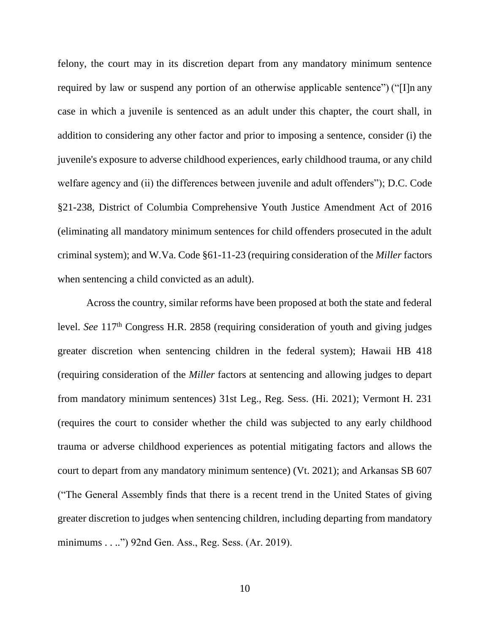felony, the court may in its discretion depart from any mandatory minimum sentence required by law or suspend any portion of an otherwise applicable sentence") ("[I]n any case in which a juvenile is sentenced as an adult under this chapter, the court shall, in addition to considering any other factor and prior to imposing a sentence, consider (i) the juvenile's exposure to adverse childhood experiences, early childhood trauma, or any child welfare agency and (ii) the differences between juvenile and adult offenders"); D.C. Code §21-238, District of Columbia Comprehensive Youth Justice Amendment Act of 2016 (eliminating all mandatory minimum sentences for child offenders prosecuted in the adult criminal system); and W.Va. Code §61-11-23 (requiring consideration of the *Miller* factors when sentencing a child convicted as an adult).

Across the country, similar reforms have been proposed at both the state and federal level. *See* 117<sup>th</sup> Congress H.R. 2858 (requiring consideration of youth and giving judges greater discretion when sentencing children in the federal system); Hawaii HB 418 (requiring consideration of the *Miller* factors at sentencing and allowing judges to depart from mandatory minimum sentences) 31st Leg., Reg. Sess. (Hi. 2021); Vermont H. 231 (requires the court to consider whether the child was subjected to any early childhood trauma or adverse childhood experiences as potential mitigating factors and allows the court to depart from any mandatory minimum sentence) (Vt. 2021); and Arkansas SB 607 ("The General Assembly finds that there is a recent trend in the United States of giving greater discretion to judges when sentencing children, including departing from mandatory minimums . . ..") 92nd Gen. Ass., Reg. Sess. (Ar. 2019).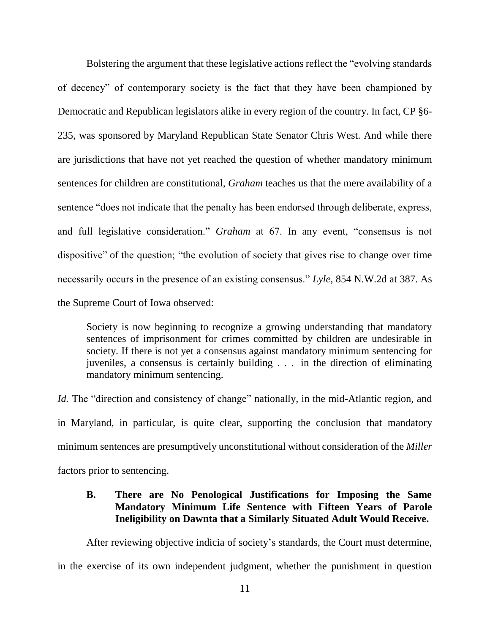Bolstering the argument that these legislative actions reflect the "evolving standards of decency" of contemporary society is the fact that they have been championed by Democratic and Republican legislators alike in every region of the country. In fact, CP §6- 235, was sponsored by Maryland Republican State Senator Chris West. And while there are jurisdictions that have not yet reached the question of whether mandatory minimum sentences for children are constitutional, *Graham* teaches us that the mere availability of a sentence "does not indicate that the penalty has been endorsed through deliberate, express, and full legislative consideration." *Graham* at 67. In any event, "consensus is not dispositive" of the question; "the evolution of society that gives rise to change over time necessarily occurs in the presence of an existing consensus." *Lyle*, 854 N.W.2d at 387. As the Supreme Court of Iowa observed:

Society is now beginning to recognize a growing understanding that mandatory sentences of imprisonment for crimes committed by children are undesirable in society. If there is not yet a consensus against mandatory minimum sentencing for juveniles, a consensus is certainly building . . . in the direction of eliminating mandatory minimum sentencing.

*Id.* The "direction and consistency of change" nationally, in the mid-Atlantic region, and in Maryland, in particular, is quite clear, supporting the conclusion that mandatory minimum sentences are presumptively unconstitutional without consideration of the *Miller* factors prior to sentencing.

## **B. There are No Penological Justifications for Imposing the Same Mandatory Minimum Life Sentence with Fifteen Years of Parole Ineligibility on Dawnta that a Similarly Situated Adult Would Receive.**

After reviewing objective indicia of society's standards, the Court must determine, in the exercise of its own independent judgment, whether the punishment in question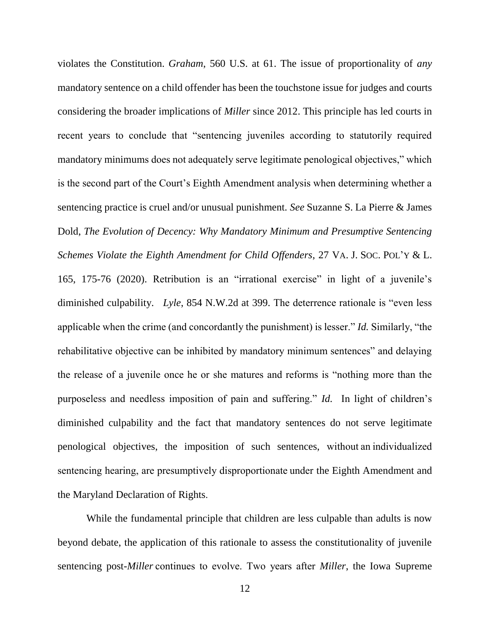violates the Constitution. *Graham*, 560 U.S. at 61. The issue of proportionality of *any* mandatory sentence on a child offender has been the touchstone issue for judges and courts considering the broader implications of *Miller* since 2012. This principle has led courts in recent years to conclude that "sentencing juveniles according to statutorily required mandatory minimums does not adequately serve legitimate penological objectives," which is the second part of the Court's Eighth Amendment analysis when determining whether a sentencing practice is cruel and/or unusual punishment. *See* Suzanne S. La Pierre & James Dold, *The Evolution of Decency: Why Mandatory Minimum and Presumptive Sentencing Schemes Violate the Eighth Amendment for Child Offenders*, 27 VA. J. SOC. POL'Y & L. 165, 175-76 (2020). Retribution is an "irrational exercise" in light of a juvenile's diminished culpability. *Lyle*, 854 N.W.2d at 399. The deterrence rationale is "even less applicable when the crime (and concordantly the punishment) is lesser." *Id.* Similarly, "the rehabilitative objective can be inhibited by mandatory minimum sentences" and delaying the release of a juvenile once he or she matures and reforms is "nothing more than the purposeless and needless imposition of pain and suffering." *Id.* In light of children's diminished culpability and the fact that mandatory sentences do not serve legitimate penological objectives, the imposition of such sentences, without an individualized sentencing hearing, are presumptively disproportionate under the Eighth Amendment and the Maryland Declaration of Rights.  

While the fundamental principle that children are less culpable than adults is now beyond debate, the application of this rationale to assess the constitutionality of juvenile sentencing post-*Miller* continues to evolve. Two years after *Miller*, the Iowa Supreme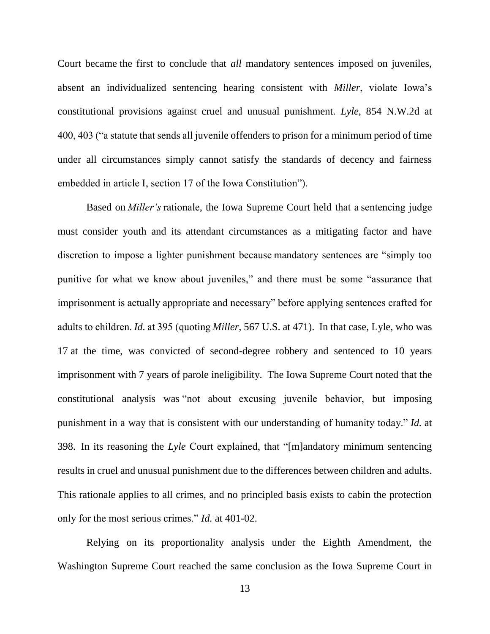Court became the first to conclude that *all* mandatory sentences imposed on juveniles, absent an individualized sentencing hearing consistent with *Miller*, violate Iowa's constitutional provisions against cruel and unusual punishment. *Lyle*, 854 N.W.2d at 400, 403 ("a statute that sends all juvenile offenders to prison for a minimum period of time under all circumstances simply cannot satisfy the standards of decency and fairness embedded in article I, section 17 of the Iowa Constitution").  

Based on*Miller's* rationale, the Iowa Supreme Court held that a sentencing judge must consider youth and its attendant circumstances as a mitigating factor and have discretion to impose a lighter punishment because mandatory sentences are "simply too punitive for what we know about juveniles," and there must be some "assurance that imprisonment is actually appropriate and necessary" before applying sentences crafted for adults to children. *Id.* at 395 (quoting *Miller*, 567 U.S. at 471). In that case, Lyle, who was 17 at the time, was convicted of second-degree robbery and sentenced to 10 years imprisonment with 7 years of parole ineligibility. The Iowa Supreme Court noted that the constitutional analysis was "not about excusing juvenile behavior, but imposing punishment in a way that is consistent with our understanding of humanity today." *Id.* at 398. In its reasoning the *Lyle* Court explained, that "[m]andatory minimum sentencing results in cruel and unusual punishment due to the differences between children and adults. This rationale applies to all crimes, and no principled basis exists to cabin the protection only for the most serious crimes." *Id.* at 401-02.

Relying on its proportionality analysis under the Eighth Amendment, the Washington Supreme Court reached the same conclusion as the Iowa Supreme Court in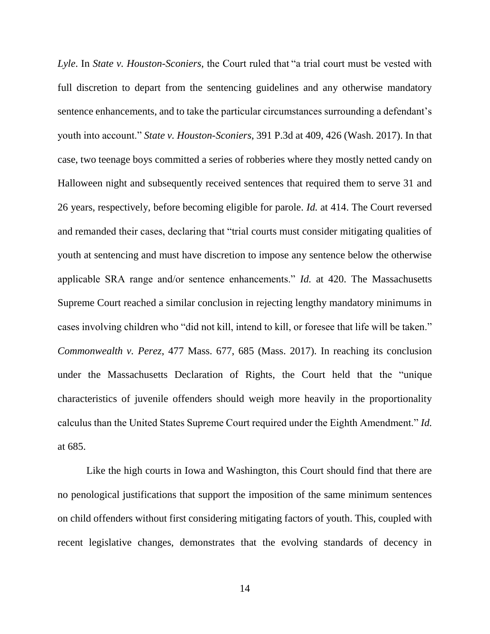*Lyle*. In *State v. Houston-Sconiers*, the Court ruled that "a trial court must be vested with full discretion to depart from the sentencing guidelines and any otherwise mandatory sentence enhancements, and to take the particular circumstances surrounding a defendant's youth into account." *State v. Houston-Sconiers*, 391 P.3d at 409, 426 (Wash. 2017). In that case, two teenage boys committed a series of robberies where they mostly netted candy on Halloween night and subsequently received sentences that required them to serve 31 and 26 years, respectively, before becoming eligible for parole. *Id.* at 414. The Court reversed and remanded their cases, declaring that "trial courts must consider mitigating qualities of youth at sentencing and must have discretion to impose any sentence below the otherwise applicable SRA range and/or sentence enhancements." *Id.* at 420. The Massachusetts Supreme Court reached a similar conclusion in rejecting lengthy mandatory minimums in cases involving children who "did not kill, intend to kill, or foresee that life will be taken." *Commonwealth v. Perez*, 477 Mass. 677, 685 (Mass. 2017). In reaching its conclusion under the Massachusetts Declaration of Rights, the Court held that the "unique characteristics of juvenile offenders should weigh more heavily in the proportionality calculus than the United States Supreme Court required under the Eighth Amendment." *Id.* at 685.

Like the high courts in Iowa and Washington, this Court should find that there are no penological justifications that support the imposition of the same minimum sentences on child offenders without first considering mitigating factors of youth. This, coupled with recent legislative changes, demonstrates that the evolving standards of decency in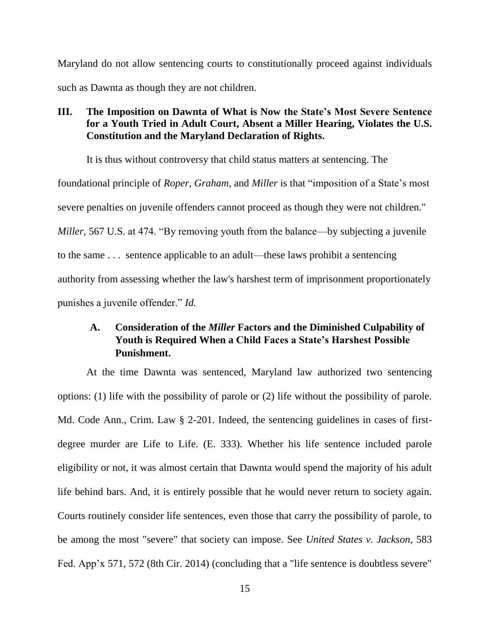Maryland do not allow sentencing courts to constitutionally proceed against individuals such as Dawnta as though they are not children.

### **III. The Imposition on Dawnta of What is Now the State's Most Severe Sentence for a Youth Tried in Adult Court, Absent a Miller Hearing, Violates the U.S. Constitution and the Maryland Declaration of Rights.**

It is thus without controversy that child status matters at sentencing. The foundational principle of *Roper*, *Graham*, and *Miller* is that "imposition of a State's most severe penalties on juvenile offenders cannot proceed as though they were not children." *Miller*, 567 U.S. at 474. "By removing youth from the balance—by subjecting a juvenile to the same . . . sentence applicable to an adult—these laws prohibit a sentencing authority from assessing whether the law's harshest term of imprisonment proportionately punishes a juvenile offender." *Id.*

# **A. Consideration of the** *Miller* **Factors and the Diminished Culpability of Youth is Required When a Child Faces a State's Harshest Possible Punishment.**

At the time Dawnta was sentenced, Maryland law authorized two sentencing options: (1) life with the possibility of parole or (2) life without the possibility of parole. Md. Code Ann., Crim. Law § 2-201. Indeed, the sentencing guidelines in cases of firstdegree murder are Life to Life. (E. 333). Whether his life sentence included parole eligibility or not, it was almost certain that Dawnta would spend the majority of his adult life behind bars. And, it is entirely possible that he would never return to society again. Courts routinely consider life sentences, even those that carry the possibility of parole, to be among the most "severe" that society can impose. See *United States v. Jackson*, 583 Fed. App'x 571, 572 (8th Cir. 2014) (concluding that a "life sentence is doubtless severe"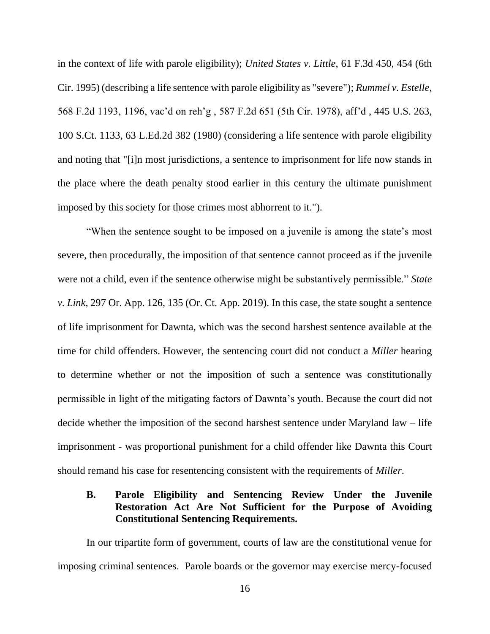in the context of life with parole eligibility); *United States v. Little*, 61 F.3d 450, 454 (6th Cir. 1995) (describing a life sentence with parole eligibility as "severe"); *Rummel v. Estelle*, 568 F.2d 1193, 1196, vac'd on reh'g , 587 F.2d 651 (5th Cir. 1978), aff'd , 445 U.S. 263, 100 S.Ct. 1133, 63 L.Ed.2d 382 (1980) (considering a life sentence with parole eligibility and noting that "[i]n most jurisdictions, a sentence to imprisonment for life now stands in the place where the death penalty stood earlier in this century the ultimate punishment imposed by this society for those crimes most abhorrent to it.").

"When the sentence sought to be imposed on a juvenile is among the state's most severe, then procedurally, the imposition of that sentence cannot proceed as if the juvenile were not a child, even if the sentence otherwise might be substantively permissible." *State v. Link*, 297 Or. App. 126, 135 (Or. Ct. App. 2019). In this case, the state sought a sentence of life imprisonment for Dawnta, which was the second harshest sentence available at the time for child offenders. However, the sentencing court did not conduct a *Miller* hearing to determine whether or not the imposition of such a sentence was constitutionally permissible in light of the mitigating factors of Dawnta's youth. Because the court did not decide whether the imposition of the second harshest sentence under Maryland law – life imprisonment - was proportional punishment for a child offender like Dawnta this Court should remand his case for resentencing consistent with the requirements of *Miller*.

### **B. Parole Eligibility and Sentencing Review Under the Juvenile Restoration Act Are Not Sufficient for the Purpose of Avoiding Constitutional Sentencing Requirements.**

In our tripartite form of government, courts of law are the constitutional venue for imposing criminal sentences. Parole boards or the governor may exercise mercy-focused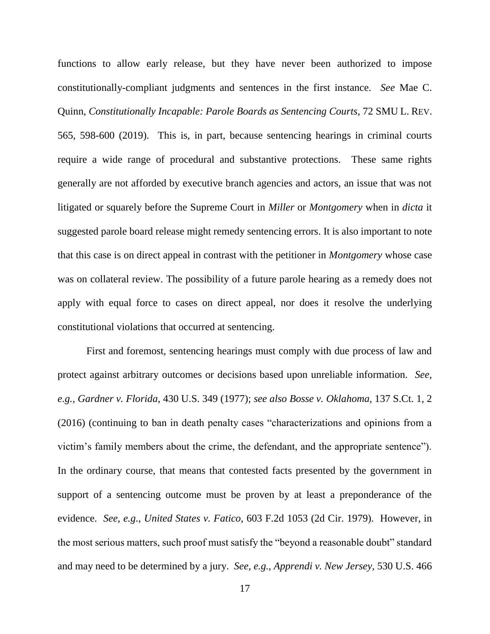functions to allow early release, but they have never been authorized to impose constitutionally-compliant judgments and sentences in the first instance. *See* Mae C. Quinn, *Constitutionally Incapable: Parole Boards as Sentencing Courts*, 72 SMU L. REV. 565, 598-600 (2019). This is, in part, because sentencing hearings in criminal courts require a wide range of procedural and substantive protections. These same rights generally are not afforded by executive branch agencies and actors, an issue that was not litigated or squarely before the Supreme Court in *Miller* or *Montgomery* when in *dicta* it suggested parole board release might remedy sentencing errors. It is also important to note that this case is on direct appeal in contrast with the petitioner in *Montgomery* whose case was on collateral review. The possibility of a future parole hearing as a remedy does not apply with equal force to cases on direct appeal, nor does it resolve the underlying constitutional violations that occurred at sentencing.

First and foremost, sentencing hearings must comply with due process of law and protect against arbitrary outcomes or decisions based upon unreliable information. *See, e.g., Gardner v. Florida,* 430 U.S. 349 (1977); *see also Bosse v. Oklahoma,* 137 S.Ct. 1, 2 (2016) (continuing to ban in death penalty cases "characterizations and opinions from a victim's family members about the crime, the defendant, and the appropriate sentence"). In the ordinary course, that means that contested facts presented by the government in support of a sentencing outcome must be proven by at least a preponderance of the evidence. *See, e.g., United States v. Fatico*, 603 F.2d 1053 (2d Cir. 1979). However, in the most serious matters, such proof must satisfy the "beyond a reasonable doubt" standard and may need to be determined by a jury. *See, e.g., Apprendi v. New Jersey,* 530 U.S. 466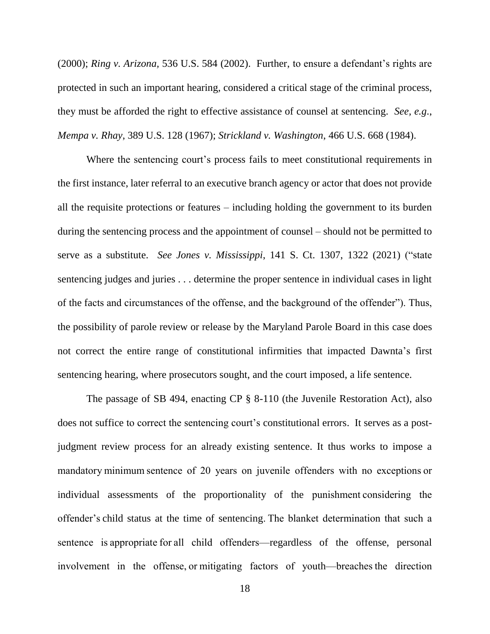(2000); *Ring v. Arizona,* 536 U.S. 584 (2002). Further, to ensure a defendant's rights are protected in such an important hearing, considered a critical stage of the criminal process, they must be afforded the right to effective assistance of counsel at sentencing. *See, e.g*., *Mempa v. Rhay*, 389 U.S. 128 (1967); *Strickland v. Washington*, 466 U.S. 668 (1984).

Where the sentencing court's process fails to meet constitutional requirements in the first instance, later referral to an executive branch agency or actor that does not provide all the requisite protections or features – including holding the government to its burden during the sentencing process and the appointment of counsel – should not be permitted to serve as a substitute. *See Jones v. Mississippi*, 141 S. Ct. 1307, 1322 (2021) ("state sentencing judges and juries . . . determine the proper sentence in individual cases in light of the facts and circumstances of the offense, and the background of the offender"). Thus, the possibility of parole review or release by the Maryland Parole Board in this case does not correct the entire range of constitutional infirmities that impacted Dawnta's first sentencing hearing, where prosecutors sought, and the court imposed, a life sentence.

The passage of SB 494, enacting CP § 8-110 (the Juvenile Restoration Act), also does not suffice to correct the sentencing court's constitutional errors. It serves as a postjudgment review process for an already existing sentence. It thus works to impose a mandatory minimum sentence of 20 years on juvenile offenders with no exceptions or individual assessments of the proportionality of the punishment considering the offender's child status at the time of sentencing. The blanket determination that such a sentence is appropriate for all child offenders—regardless of the offense, personal involvement in the offense, or mitigating factors of youth—breaches the direction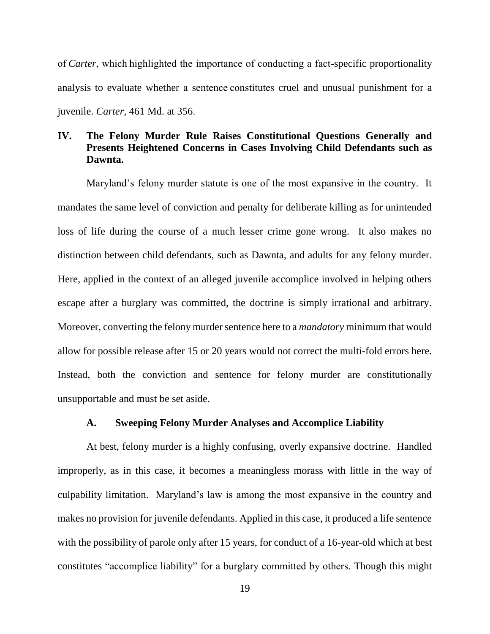of *Carter*, which highlighted the importance of conducting a fact-specific proportionality analysis to evaluate whether a sentence constitutes cruel and unusual punishment for a juvenile. *Carter,* 461 Md. at 356.   

### **IV. The Felony Murder Rule Raises Constitutional Questions Generally and Presents Heightened Concerns in Cases Involving Child Defendants such as Dawnta.**

Maryland's felony murder statute is one of the most expansive in the country. It mandates the same level of conviction and penalty for deliberate killing as for unintended loss of life during the course of a much lesser crime gone wrong. It also makes no distinction between child defendants, such as Dawnta, and adults for any felony murder. Here, applied in the context of an alleged juvenile accomplice involved in helping others escape after a burglary was committed, the doctrine is simply irrational and arbitrary. Moreover, converting the felony murder sentence here to a *mandatory* minimum that would allow for possible release after 15 or 20 years would not correct the multi-fold errors here. Instead, both the conviction and sentence for felony murder are constitutionally unsupportable and must be set aside.

#### **A. Sweeping Felony Murder Analyses and Accomplice Liability**

At best, felony murder is a highly confusing, overly expansive doctrine. Handled improperly, as in this case, it becomes a meaningless morass with little in the way of culpability limitation. Maryland's law is among the most expansive in the country and makes no provision for juvenile defendants. Applied in this case, it produced a life sentence with the possibility of parole only after 15 years, for conduct of a 16-year-old which at best constitutes "accomplice liability" for a burglary committed by others. Though this might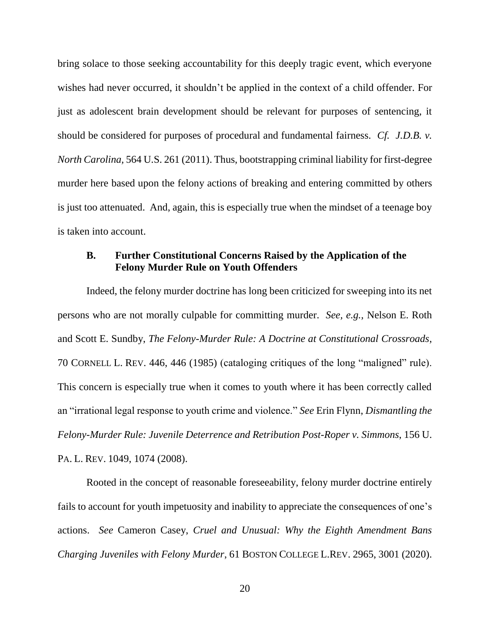bring solace to those seeking accountability for this deeply tragic event, which everyone wishes had never occurred, it shouldn't be applied in the context of a child offender. For just as adolescent brain development should be relevant for purposes of sentencing, it should be considered for purposes of procedural and fundamental fairness. *Cf. J.D.B. v. North Carolina,* 564 U.S. 261 (2011). Thus, bootstrapping criminal liability for first-degree murder here based upon the felony actions of breaking and entering committed by others is just too attenuated. And, again, this is especially true when the mindset of a teenage boy is taken into account.

#### **B. Further Constitutional Concerns Raised by the Application of the Felony Murder Rule on Youth Offenders**

Indeed, the felony murder doctrine has long been criticized for sweeping into its net persons who are not morally culpable for committing murder. *See, e.g.,* Nelson E. Roth and Scott E. Sundby, *The Felony-Murder Rule: A Doctrine at Constitutional Crossroads*, 70 CORNELL L. REV. 446, 446 (1985) (cataloging critiques of the long "maligned" rule). This concern is especially true when it comes to youth where it has been correctly called an "irrational legal response to youth crime and violence." *See* Erin Flynn, *Dismantling the Felony-Murder Rule: Juvenile Deterrence and Retribution Post-Roper v. Simmons*, 156 U. PA. L. REV. 1049, 1074 (2008).

Rooted in the concept of reasonable foreseeability, felony murder doctrine entirely fails to account for youth impetuosity and inability to appreciate the consequences of one's actions. *See* Cameron Casey, *Cruel and Unusual: Why the Eighth Amendment Bans Charging Juveniles with Felony Murder*, 61 BOSTON COLLEGE L.REV. 2965, 3001 (2020).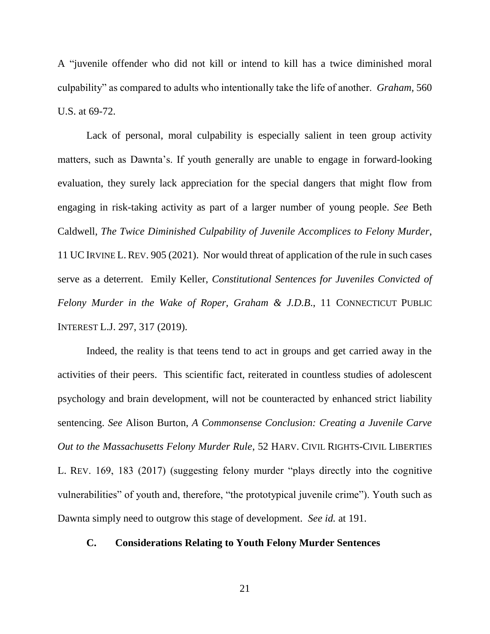A "juvenile offender who did not kill or intend to kill has a twice diminished moral culpability" as compared to adults who intentionally take the life of another. *Graham,* 560 U.S. at 69-72.

Lack of personal, moral culpability is especially salient in teen group activity matters, such as Dawnta's. If youth generally are unable to engage in forward-looking evaluation, they surely lack appreciation for the special dangers that might flow from engaging in risk-taking activity as part of a larger number of young people. *See* Beth Caldwell, *The Twice Diminished Culpability of Juvenile Accomplices to Felony Murder*, 11 UCIRVINE L.REV. 905 (2021). Nor would threat of application of the rule in such cases serve as a deterrent. Emily Keller, *Constitutional Sentences for Juveniles Convicted of Felony Murder in the Wake of Roper, Graham & J.D.B*., 11 CONNECTICUT PUBLIC INTEREST L.J. 297, 317 (2019).

Indeed, the reality is that teens tend to act in groups and get carried away in the activities of their peers. This scientific fact, reiterated in countless studies of adolescent psychology and brain development, will not be counteracted by enhanced strict liability sentencing. *See* Alison Burton, *A Commonsense Conclusion: Creating a Juvenile Carve Out to the Massachusetts Felony Murder Rule*, 52 HARV. CIVIL RIGHTS-CIVIL LIBERTIES L. REV. 169, 183 (2017) (suggesting felony murder "plays directly into the cognitive vulnerabilities" of youth and, therefore, "the prototypical juvenile crime"). Youth such as Dawnta simply need to outgrow this stage of development. *See id.* at 191.

#### **C. Considerations Relating to Youth Felony Murder Sentences**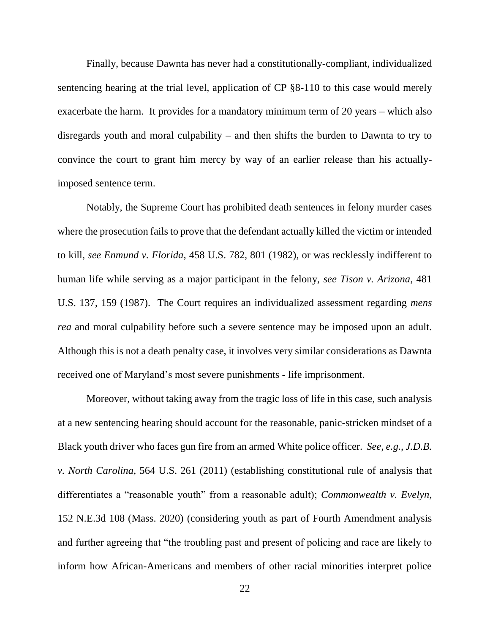Finally, because Dawnta has never had a constitutionally-compliant, individualized sentencing hearing at the trial level, application of CP §8-110 to this case would merely exacerbate the harm. It provides for a mandatory minimum term of 20 years – which also disregards youth and moral culpability – and then shifts the burden to Dawnta to try to convince the court to grant him mercy by way of an earlier release than his actuallyimposed sentence term.

Notably, the Supreme Court has prohibited death sentences in felony murder cases where the prosecution fails to prove that the defendant actually killed the victim or intended to kill, *see Enmund v. Florida*, 458 U.S. 782, 801 (1982), or was recklessly indifferent to human life while serving as a major participant in the felony, *see Tison v. Arizona*, 481 U.S. 137, 159 (1987). The Court requires an individualized assessment regarding *mens rea* and moral culpability before such a severe sentence may be imposed upon an adult. Although this is not a death penalty case, it involves very similar considerations as Dawnta received one of Maryland's most severe punishments - life imprisonment.

Moreover, without taking away from the tragic loss of life in this case, such analysis at a new sentencing hearing should account for the reasonable, panic-stricken mindset of a Black youth driver who faces gun fire from an armed White police officer. *See, e.g., J.D.B. v. North Carolina,* 564 U.S. 261 (2011) (establishing constitutional rule of analysis that differentiates a "reasonable youth" from a reasonable adult); *Commonwealth v. Evelyn*, 152 N.E.3d 108 (Mass. 2020) (considering youth as part of Fourth Amendment analysis and further agreeing that "the troubling past and present of policing and race are likely to inform how African-Americans and members of other racial minorities interpret police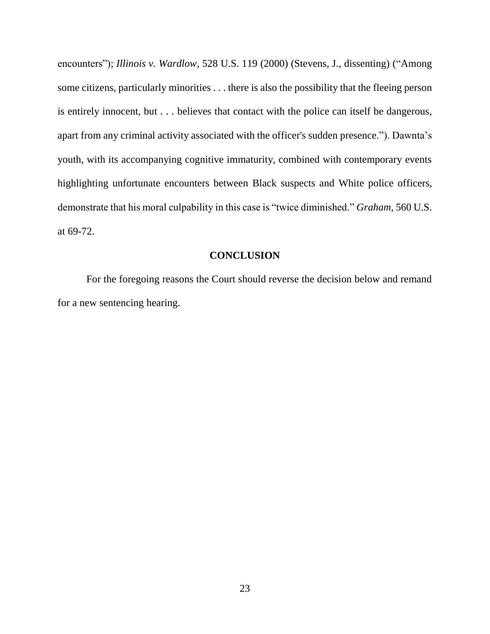encounters"); *Illinois v. Wardlow*, 528 U.S. 119 (2000) (Stevens, J., dissenting) ("Among some citizens, particularly minorities . . . there is also the possibility that the fleeing person is entirely innocent, but . . . believes that contact with the police can itself be dangerous, apart from any criminal activity associated with the officer's sudden presence."). Dawnta's youth, with its accompanying cognitive immaturity, combined with contemporary events highlighting unfortunate encounters between Black suspects and White police officers, demonstrate that his moral culpability in this case is "twice diminished." *Graham,* 560 U.S. at 69-72.

#### **CONCLUSION**

For the foregoing reasons the Court should reverse the decision below and remand for a new sentencing hearing.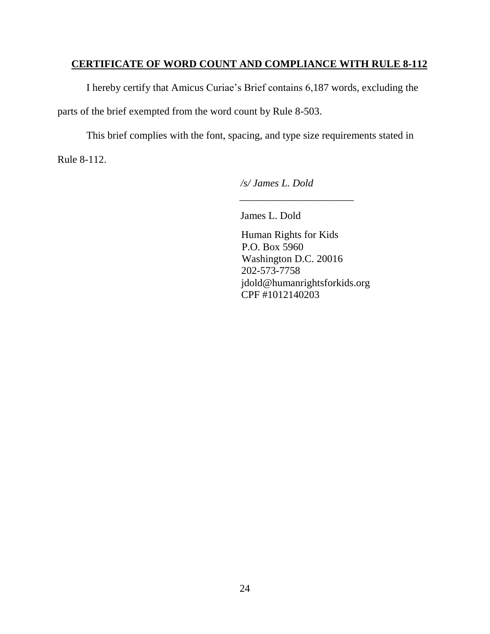# **CERTIFICATE OF WORD COUNT AND COMPLIANCE WITH RULE 8-112**

I hereby certify that Amicus Curiae's Brief contains 6,187 words, excluding the parts of the brief exempted from the word count by Rule 8-503.

This brief complies with the font, spacing, and type size requirements stated in Rule 8-112.

*/s/ James L. Dold*

 $\frac{1}{\sqrt{2}}$  ,  $\frac{1}{\sqrt{2}}$  ,  $\frac{1}{\sqrt{2}}$  ,  $\frac{1}{\sqrt{2}}$  ,  $\frac{1}{\sqrt{2}}$  ,  $\frac{1}{\sqrt{2}}$  ,  $\frac{1}{\sqrt{2}}$  ,  $\frac{1}{\sqrt{2}}$  ,  $\frac{1}{\sqrt{2}}$  ,  $\frac{1}{\sqrt{2}}$  ,  $\frac{1}{\sqrt{2}}$  ,  $\frac{1}{\sqrt{2}}$  ,  $\frac{1}{\sqrt{2}}$  ,  $\frac{1}{\sqrt{2}}$  ,  $\frac{1}{\sqrt{2}}$ 

James L. Dold

Human Rights for Kids P.O. Box 5960 Washington D.C. 20016 202-573-7758 jdold@humanrightsforkids.org CPF #1012140203